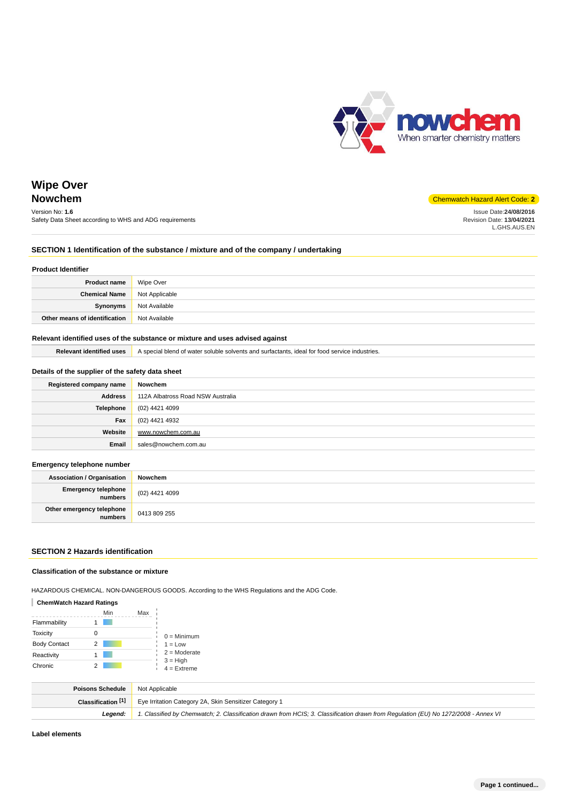

Issue Date:**24/08/2016** Revision Date: **13/04/2021** L.GHS.AUS.EN

# **Wipe Over**

# **Nowchem** Chemwatch Hazard Alert Code: **2**

Version No: **1.6** Safety Data Sheet according to WHS and ADG requirements

#### **SECTION 1 Identification of the substance / mixture and of the company / undertaking**

#### **Product Identifier**

| <b>Product name</b>                   | Wipe Over     |
|---------------------------------------|---------------|
| <b>Chemical Name</b>   Not Applicable |               |
| Synonyms                              | Not Available |
| Other means of identification         | Not Available |

#### **Relevant identified uses of the substance or mixture and uses advised against**

**Relevant identified uses** A special blend of water soluble solvents and surfactants, ideal for food service industries.

#### **Details of the supplier of the safety data sheet**

| Registered company name | Nowchem                           |
|-------------------------|-----------------------------------|
| <b>Address</b>          | 112A Albatross Road NSW Australia |
| Telephone               | (02) 4421 4099                    |
| Fax                     | (02) 4421 4932                    |
| Website                 | www.nowchem.com.au                |
| Email                   | sales@nowchem.com.au              |

#### **Emergency telephone number**

| <b>Association / Organisation</b>             | Nowchem        |
|-----------------------------------------------|----------------|
| <b>Emergency telephone</b><br><b>inumbers</b> | (02) 4421 4099 |
| Other emergency telephone<br>numbers          | 0413 809 255   |

#### **SECTION 2 Hazards identification**

#### **Classification of the substance or mixture**

HAZARDOUS CHEMICAL. NON-DANGEROUS GOODS. According to the WHS Regulations and the ADG Code.

#### **ChemWatch Hazard Ratings**

|                     | Min | Max |                             |
|---------------------|-----|-----|-----------------------------|
| Flammability        |     |     |                             |
| <b>Toxicity</b>     | 0   |     | $0 =$ Minimum               |
| <b>Body Contact</b> | 2   |     | $1 = Low$                   |
| Reactivity          |     |     | $2 =$ Moderate              |
| Chronic             |     |     | $3 = High$<br>$4 =$ Extreme |

| <b>Poisons Schedule</b> Not Applicable |                                                                                                                                     |
|----------------------------------------|-------------------------------------------------------------------------------------------------------------------------------------|
| Classification [1]                     | Eye Irritation Category 2A, Skin Sensitizer Category 1                                                                              |
| Leaend:                                | 1. Classified by Chemwatch; 2. Classification drawn from HCIS; 3. Classification drawn from Requlation (EU) No 1272/2008 - Annex VI |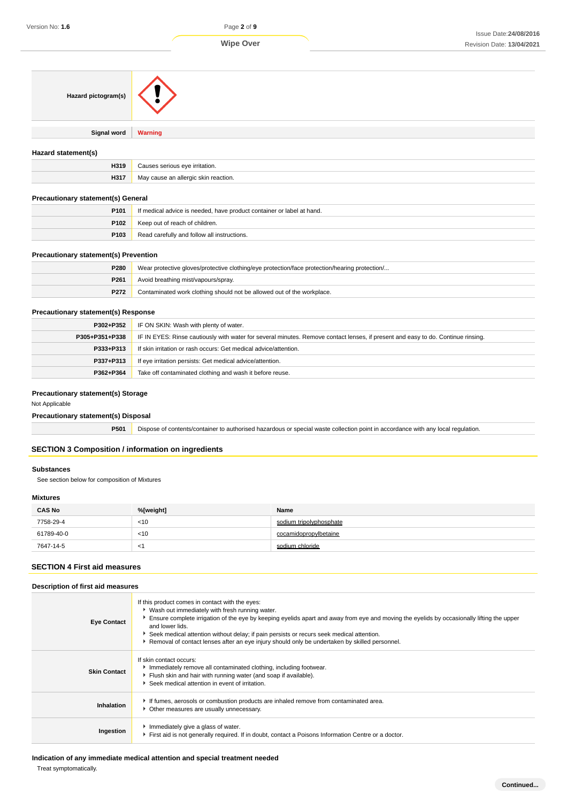| Hazard pictogram(s)                          |                                                                                                                                  |
|----------------------------------------------|----------------------------------------------------------------------------------------------------------------------------------|
| <b>Signal word</b>                           | <b>Warning</b>                                                                                                                   |
| Hazard statement(s)                          |                                                                                                                                  |
| H319                                         | Causes serious eye irritation.                                                                                                   |
| H317                                         | May cause an allergic skin reaction.                                                                                             |
| <b>Precautionary statement(s) General</b>    |                                                                                                                                  |
| P101                                         | If medical advice is needed, have product container or label at hand.                                                            |
| P <sub>102</sub>                             | Keep out of reach of children.                                                                                                   |
| P103                                         | Read carefully and follow all instructions.                                                                                      |
| <b>Precautionary statement(s) Prevention</b> |                                                                                                                                  |
| P280                                         | Wear protective gloves/protective clothing/eye protection/face protection/hearing protection/                                    |
| P261                                         | Avoid breathing mist/vapours/spray.                                                                                              |
| P272                                         | Contaminated work clothing should not be allowed out of the workplace.                                                           |
| <b>Precautionary statement(s) Response</b>   |                                                                                                                                  |
| P302+P352                                    | IF ON SKIN: Wash with plenty of water.                                                                                           |
| P305+P351+P338                               | IF IN EYES: Rinse cautiously with water for several minutes. Remove contact lenses, if present and easy to do. Continue rinsing. |
| P333+P313                                    | If skin irritation or rash occurs: Get medical advice/attention.                                                                 |

| P362+P364   Take off contaminated clothing and wash it before reuse. |
|----------------------------------------------------------------------|
|                                                                      |

**P337+P313** If eye irritation persists: Get medical advice/attention.

## **Precautionary statement(s) Storage**

Not Applicable

**Precautionary statement(s) Disposal**

**P501** Dispose of contents/container to authorised hazardous or special waste collection point in accordance with any local regulation.

#### **SECTION 3 Composition / information on ingredients**

#### **Substances**

See section below for composition of Mixtures

## **Mixtures**

| <b>CAS No</b> | %[weight] | Name                    |
|---------------|-----------|-------------------------|
| 7758-29-4     | $<$ 10    | sodium tripolyphosphate |
| 61789-40-0    | $<$ 10    | cocamidopropylbetaine   |
| 7647-14-5     | $\leq$    | sodium chloride         |

### **SECTION 4 First aid measures**

#### **Description of first aid measures**

| <b>Eye Contact</b>  | If this product comes in contact with the eyes:<br>▶ Wash out immediately with fresh running water.<br>Ensure complete irrigation of the eye by keeping eyelids apart and away from eye and moving the eyelids by occasionally lifting the upper<br>and lower lids.<br>Seek medical attention without delay; if pain persists or recurs seek medical attention.<br>Removal of contact lenses after an eye injury should only be undertaken by skilled personnel. |
|---------------------|------------------------------------------------------------------------------------------------------------------------------------------------------------------------------------------------------------------------------------------------------------------------------------------------------------------------------------------------------------------------------------------------------------------------------------------------------------------|
| <b>Skin Contact</b> | If skin contact occurs:<br>Immediately remove all contaminated clothing, including footwear.<br>Flush skin and hair with running water (and soap if available).<br>Seek medical attention in event of irritation.                                                                                                                                                                                                                                                |
| Inhalation          | If fumes, aerosols or combustion products are inhaled remove from contaminated area.<br>• Other measures are usually unnecessary.                                                                                                                                                                                                                                                                                                                                |
| Ingestion           | Immediately give a glass of water.<br>First aid is not generally required. If in doubt, contact a Poisons Information Centre or a doctor.                                                                                                                                                                                                                                                                                                                        |

**Indication of any immediate medical attention and special treatment needed**

Treat symptomatically.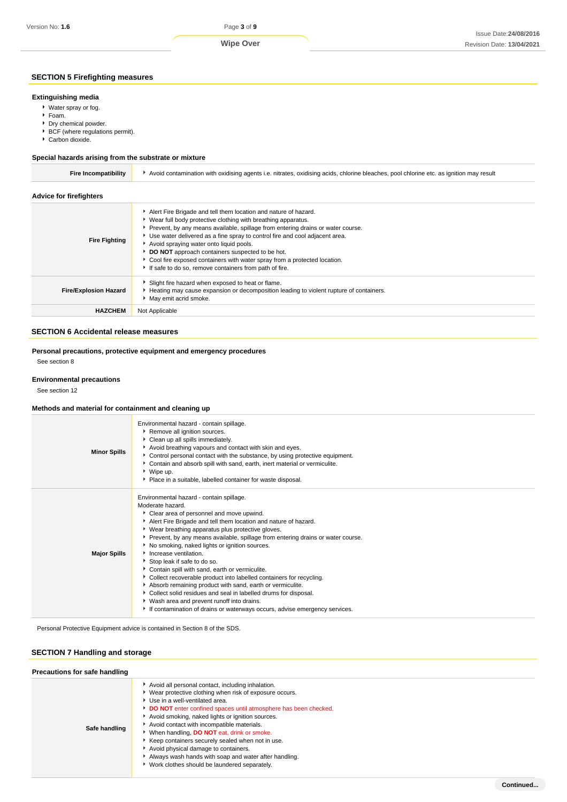**Wipe Over**

#### **SECTION 5 Firefighting measures**

## **Extinguishing media**

Water spray or fog.

- ▶ Foam.
- ▶ Dry chemical powder.
- BCF (where regulations permit).
- ▶ Carbon dioxide.

#### **Special hazards arising from the substrate or mixture**

| <b>Fire Incompatibility</b>    | Avoid contamination with oxidising agents i.e. nitrates, oxidising acids, chlorine bleaches, pool chlorine etc. as ignition may result                                                                                                                                                                                                                                                                                                                                                                                                      |
|--------------------------------|---------------------------------------------------------------------------------------------------------------------------------------------------------------------------------------------------------------------------------------------------------------------------------------------------------------------------------------------------------------------------------------------------------------------------------------------------------------------------------------------------------------------------------------------|
| <b>Advice for firefighters</b> |                                                                                                                                                                                                                                                                                                                                                                                                                                                                                                                                             |
| <b>Fire Fighting</b>           | Alert Fire Brigade and tell them location and nature of hazard.<br>▶ Wear full body protective clothing with breathing apparatus.<br>Prevent, by any means available, spillage from entering drains or water course.<br>▶ Use water delivered as a fine spray to control fire and cool adjacent area.<br>Avoid spraying water onto liquid pools.<br>DO NOT approach containers suspected to be hot.<br>• Cool fire exposed containers with water spray from a protected location.<br>If safe to do so, remove containers from path of fire. |
| <b>Fire/Explosion Hazard</b>   | Slight fire hazard when exposed to heat or flame.<br>Heating may cause expansion or decomposition leading to violent rupture of containers.<br>May emit acrid smoke.                                                                                                                                                                                                                                                                                                                                                                        |
| <b>HAZCHEM</b>                 | Not Applicable                                                                                                                                                                                                                                                                                                                                                                                                                                                                                                                              |

## **SECTION 6 Accidental release measures**

**Personal precautions, protective equipment and emergency procedures**

See section 8

#### **Environmental precautions**

See section 12

#### **Methods and material for containment and cleaning up**

| <b>Minor Spills</b> | Environmental hazard - contain spillage.<br>Remove all ignition sources.<br>Clean up all spills immediately.<br>Avoid breathing vapours and contact with skin and eyes.<br>Control personal contact with the substance, by using protective equipment.<br>Contain and absorb spill with sand, earth, inert material or vermiculite.<br>▶ Wipe up.<br>• Place in a suitable, labelled container for waste disposal.                                                                                                                                                                                                                                                                                                                                                                                                    |
|---------------------|-----------------------------------------------------------------------------------------------------------------------------------------------------------------------------------------------------------------------------------------------------------------------------------------------------------------------------------------------------------------------------------------------------------------------------------------------------------------------------------------------------------------------------------------------------------------------------------------------------------------------------------------------------------------------------------------------------------------------------------------------------------------------------------------------------------------------|
| <b>Major Spills</b> | Environmental hazard - contain spillage.<br>Moderate hazard.<br>Clear area of personnel and move upwind.<br>Alert Fire Brigade and tell them location and nature of hazard.<br>▶ Wear breathing apparatus plus protective gloves.<br>▶ Prevent, by any means available, spillage from entering drains or water course.<br>No smoking, naked lights or ignition sources.<br>Increase ventilation.<br>Stop leak if safe to do so.<br>Contain spill with sand, earth or vermiculite.<br>Collect recoverable product into labelled containers for recycling.<br>Absorb remaining product with sand, earth or vermiculite.<br>Collect solid residues and seal in labelled drums for disposal.<br>▶ Wash area and prevent runoff into drains.<br>If contamination of drains or waterways occurs, advise emergency services. |
|                     |                                                                                                                                                                                                                                                                                                                                                                                                                                                                                                                                                                                                                                                                                                                                                                                                                       |

Personal Protective Equipment advice is contained in Section 8 of the SDS.

#### **SECTION 7 Handling and storage**

| Precautions for safe handling |                                                                                                                                                                                                                                                                                                                                                                                                                                                                                                                                                                             |  |
|-------------------------------|-----------------------------------------------------------------------------------------------------------------------------------------------------------------------------------------------------------------------------------------------------------------------------------------------------------------------------------------------------------------------------------------------------------------------------------------------------------------------------------------------------------------------------------------------------------------------------|--|
| Safe handling                 | Avoid all personal contact, including inhalation.<br>▶ Wear protective clothing when risk of exposure occurs.<br>Use in a well-ventilated area.<br>DO NOT enter confined spaces until atmosphere has been checked.<br>Avoid smoking, naked lights or ignition sources.<br>Avoid contact with incompatible materials.<br>▶ When handling, DO NOT eat, drink or smoke.<br>Keep containers securely sealed when not in use.<br>Avoid physical damage to containers.<br>Always wash hands with soap and water after handling.<br>▶ Work clothes should be laundered separately. |  |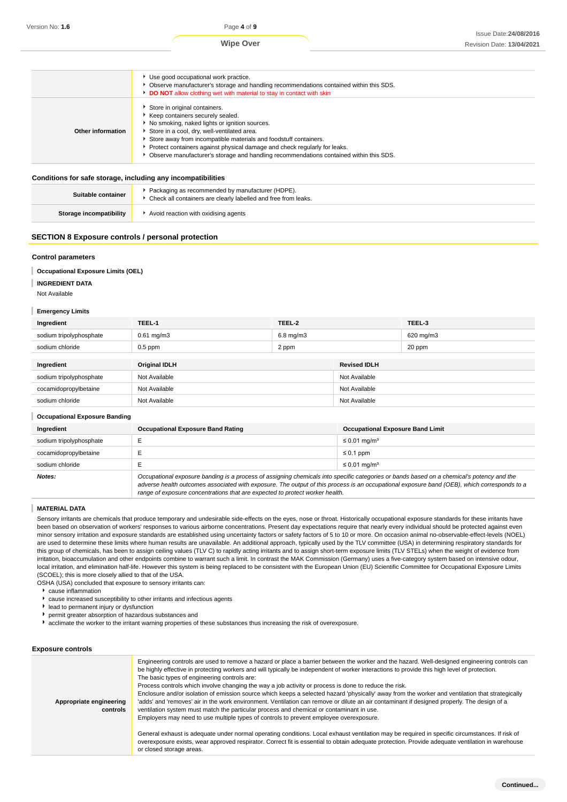## **Wipe Over**

|                   | Use good occupational work practice.<br>• Observe manufacturer's storage and handling recommendations contained within this SDS.<br>DO NOT allow clothing wet with material to stay in contact with skin                                                                                                                                                                                                       |
|-------------------|----------------------------------------------------------------------------------------------------------------------------------------------------------------------------------------------------------------------------------------------------------------------------------------------------------------------------------------------------------------------------------------------------------------|
| Other information | Store in original containers.<br>Keep containers securely sealed.<br>No smoking, naked lights or ignition sources.<br>Store in a cool, dry, well-ventilated area.<br>Store away from incompatible materials and foodstuff containers.<br>Protect containers against physical damage and check regularly for leaks.<br>▶ Observe manufacturer's storage and handling recommendations contained within this SDS. |

#### **Conditions for safe storage, including any incompatibilities**

| Suitable container      | Packaging as recommended by manufacturer (HDPE).<br>* Check all containers are clearly labelled and free from leaks. |
|-------------------------|----------------------------------------------------------------------------------------------------------------------|
| Storage incompatibility | Avoid reaction with oxidising agents                                                                                 |

#### **SECTION 8 Exposure controls / personal protection**

#### **Control parameters**

#### ı **Occupational Exposure Limits (OEL)**

**INGREDIENT DATA**

#### Not Available

#### **Emergency Limits**

| Ingredient              | TEEL-1               | TEEL-2         |                     | TEEL-3    |
|-------------------------|----------------------|----------------|---------------------|-----------|
| sodium tripolyphosphate | $0.61$ mg/m $3$      | $6.8$ mg/m $3$ |                     | 620 mg/m3 |
| sodium chloride         | $0.5$ ppm            | 2 ppm          |                     | 20 ppm    |
|                         |                      |                |                     |           |
| Ingredient              | <b>Original IDLH</b> |                | <b>Revised IDLH</b> |           |
| sodium tripolyphosphate | Not Available        |                | Not Available       |           |
| cocamidopropylbetaine   | Not Available        |                | Not Available       |           |
| sodium chloride         | Not Available        |                | Not Available       |           |

| <b>Occupational Exposure Banding</b> |                                                                                                                                                                                                                                                                                                                                                                          |                                         |  |  |
|--------------------------------------|--------------------------------------------------------------------------------------------------------------------------------------------------------------------------------------------------------------------------------------------------------------------------------------------------------------------------------------------------------------------------|-----------------------------------------|--|--|
| Ingredient                           | <b>Occupational Exposure Band Rating</b>                                                                                                                                                                                                                                                                                                                                 | <b>Occupational Exposure Band Limit</b> |  |  |
| sodium tripolyphosphate              |                                                                                                                                                                                                                                                                                                                                                                          | ≤ 0.01 mg/m <sup>3</sup>                |  |  |
| cocamidopropylbetaine                |                                                                                                                                                                                                                                                                                                                                                                          | $\leq 0.1$ ppm                          |  |  |
| sodium chloride                      |                                                                                                                                                                                                                                                                                                                                                                          | $\leq 0.01$ mg/m <sup>3</sup>           |  |  |
| Notes:                               | Occupational exposure banding is a process of assigning chemicals into specific categories or bands based on a chemical's potency and the<br>adverse health outcomes associated with exposure. The output of this process is an occupational exposure band (OEB), which corresponds to a<br>range of exposure concentrations that are expected to protect worker health. |                                         |  |  |

#### **MATERIAL DATA**

Sensory irritants are chemicals that produce temporary and undesirable side-effects on the eyes, nose or throat. Historically occupational exposure standards for these irritants have been based on observation of workers' responses to various airborne concentrations. Present day expectations require that nearly every individual should be protected against even minor sensory irritation and exposure standards are established using uncertainty factors or safety factors of 5 to 10 or more. On occasion animal no-observable-effect-levels (NOEL) are used to determine these limits where human results are unavailable. An additional approach, typically used by the TLV committee (USA) in determining respiratory standards for this group of chemicals, has been to assign ceiling values (TLV C) to rapidly acting irritants and to assign short-term exposure limits (TLV STELs) when the weight of evidence from irritation, bioaccumulation and other endpoints combine to warrant such a limit. In contrast the MAK Commission (Germany) uses a five-category system based on intensive odour, local irritation, and elimination half-life. However this system is being replaced to be consistent with the European Union (EU) Scientific Committee for Occupational Exposure Limits (SCOEL); this is more closely allied to that of the USA.

OSHA (USA) concluded that exposure to sensory irritants can:

- $\overline{\phantom{a}}$  cause inflammation
- cause increased susceptibility to other irritants and infectious agents
- $\mathbf{r}$ lead to permanent injury or dysfunction
- permit greater absorption of hazardous substances and
- acclimate the worker to the irritant warning properties of these substances thus increasing the risk of overexposure.

#### **Exposure controls**

| Engineering controls are used to remove a hazard or place a barrier between the worker and the hazard. Well-designed engineering controls can<br>be highly effective in protecting workers and will typically be independent of worker interactions to provide this high level of protection.<br>The basic types of engineering controls are:<br>Process controls which involve changing the way a job activity or process is done to reduce the risk.<br>Enclosure and/or isolation of emission source which keeps a selected hazard 'physically' away from the worker and ventilation that strategically<br>'adds' and 'removes' air in the work environment. Ventilation can remove or dilute an air contaminant if designed properly. The design of a<br>Appropriate engineering<br>ventilation system must match the particular process and chemical or contaminant in use.<br>controls<br>Employers may need to use multiple types of controls to prevent employee overexposure. |                                                                                                                                                |
|----------------------------------------------------------------------------------------------------------------------------------------------------------------------------------------------------------------------------------------------------------------------------------------------------------------------------------------------------------------------------------------------------------------------------------------------------------------------------------------------------------------------------------------------------------------------------------------------------------------------------------------------------------------------------------------------------------------------------------------------------------------------------------------------------------------------------------------------------------------------------------------------------------------------------------------------------------------------------------------|------------------------------------------------------------------------------------------------------------------------------------------------|
| overexposure exists, wear approved respirator. Correct fit is essential to obtain adequate protection. Provide adequate ventilation in warehouse<br>or closed storage areas.                                                                                                                                                                                                                                                                                                                                                                                                                                                                                                                                                                                                                                                                                                                                                                                                           | General exhaust is adequate under normal operating conditions. Local exhaust ventilation may be required in specific circumstances. If risk of |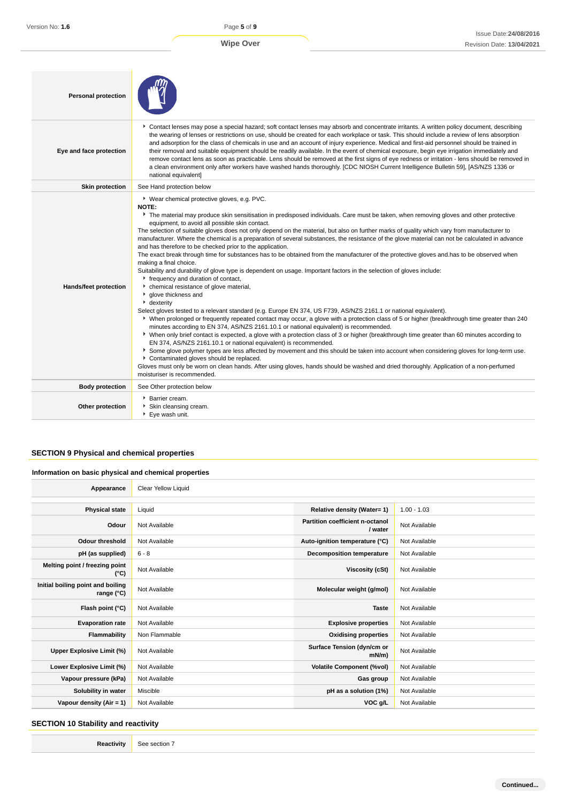| <b>Personal protection</b> |                                                                                                                                                                                                                                                                                                                                                                                                                                                                                                                                                                                                                                                                                                                                                                                                                                                                                                                                                                                                                                                                                                                                                                                                                                                                                                                                                                                                                                                                                                                                                                                                                                                                                                                                                                                                                                                                                                                                                                                                      |
|----------------------------|------------------------------------------------------------------------------------------------------------------------------------------------------------------------------------------------------------------------------------------------------------------------------------------------------------------------------------------------------------------------------------------------------------------------------------------------------------------------------------------------------------------------------------------------------------------------------------------------------------------------------------------------------------------------------------------------------------------------------------------------------------------------------------------------------------------------------------------------------------------------------------------------------------------------------------------------------------------------------------------------------------------------------------------------------------------------------------------------------------------------------------------------------------------------------------------------------------------------------------------------------------------------------------------------------------------------------------------------------------------------------------------------------------------------------------------------------------------------------------------------------------------------------------------------------------------------------------------------------------------------------------------------------------------------------------------------------------------------------------------------------------------------------------------------------------------------------------------------------------------------------------------------------------------------------------------------------------------------------------------------------|
| Eye and face protection    | Contact lenses may pose a special hazard; soft contact lenses may absorb and concentrate irritants. A written policy document, describing<br>the wearing of lenses or restrictions on use, should be created for each workplace or task. This should include a review of lens absorption<br>and adsorption for the class of chemicals in use and an account of injury experience. Medical and first-aid personnel should be trained in<br>their removal and suitable equipment should be readily available. In the event of chemical exposure, begin eye irrigation immediately and<br>remove contact lens as soon as practicable. Lens should be removed at the first signs of eye redness or irritation - lens should be removed in<br>a clean environment only after workers have washed hands thoroughly. [CDC NIOSH Current Intelligence Bulletin 59], [AS/NZS 1336 or<br>national equivalent]                                                                                                                                                                                                                                                                                                                                                                                                                                                                                                                                                                                                                                                                                                                                                                                                                                                                                                                                                                                                                                                                                                  |
| <b>Skin protection</b>     | See Hand protection below                                                                                                                                                                                                                                                                                                                                                                                                                                                                                                                                                                                                                                                                                                                                                                                                                                                                                                                                                                                                                                                                                                                                                                                                                                                                                                                                                                                                                                                                                                                                                                                                                                                                                                                                                                                                                                                                                                                                                                            |
| Hands/feet protection      | ▶ Wear chemical protective gloves, e.g. PVC.<br><b>NOTE:</b><br>The material may produce skin sensitisation in predisposed individuals. Care must be taken, when removing gloves and other protective<br>equipment, to avoid all possible skin contact.<br>The selection of suitable gloves does not only depend on the material, but also on further marks of quality which vary from manufacturer to<br>manufacturer. Where the chemical is a preparation of several substances, the resistance of the glove material can not be calculated in advance<br>and has therefore to be checked prior to the application.<br>The exact break through time for substances has to be obtained from the manufacturer of the protective gloves and has to be observed when<br>making a final choice.<br>Suitability and durability of glove type is dependent on usage. Important factors in the selection of gloves include:<br>r frequency and duration of contact,<br>• chemical resistance of glove material,<br>glove thickness and<br>• dexterity<br>Select gloves tested to a relevant standard (e.g. Europe EN 374, US F739, AS/NZS 2161.1 or national equivalent).<br>▶ When prolonged or frequently repeated contact may occur, a glove with a protection class of 5 or higher (breakthrough time greater than 240<br>minutes according to EN 374, AS/NZS 2161.10.1 or national equivalent) is recommended.<br>▶ When only brief contact is expected, a glove with a protection class of 3 or higher (breakthrough time greater than 60 minutes according to<br>EN 374, AS/NZS 2161.10.1 or national equivalent) is recommended.<br>▶ Some glove polymer types are less affected by movement and this should be taken into account when considering gloves for long-term use.<br>Contaminated gloves should be replaced.<br>Gloves must only be worn on clean hands. After using gloves, hands should be washed and dried thoroughly. Application of a non-perfumed<br>moisturiser is recommended. |
| <b>Body protection</b>     | See Other protection below                                                                                                                                                                                                                                                                                                                                                                                                                                                                                                                                                                                                                                                                                                                                                                                                                                                                                                                                                                                                                                                                                                                                                                                                                                                                                                                                                                                                                                                                                                                                                                                                                                                                                                                                                                                                                                                                                                                                                                           |
| Other protection           | <b>Barrier cream.</b><br>Skin cleansing cream.<br>▶ Eye wash unit.                                                                                                                                                                                                                                                                                                                                                                                                                                                                                                                                                                                                                                                                                                                                                                                                                                                                                                                                                                                                                                                                                                                                                                                                                                                                                                                                                                                                                                                                                                                                                                                                                                                                                                                                                                                                                                                                                                                                   |

## **SECTION 9 Physical and chemical properties**

#### **Information on basic physical and chemical properties**

| Appearance                                      | Clear Yellow Liquid |                                            |               |
|-------------------------------------------------|---------------------|--------------------------------------------|---------------|
|                                                 |                     |                                            |               |
| <b>Physical state</b>                           | Liquid              | Relative density (Water= 1)                | $1.00 - 1.03$ |
| Odour                                           | Not Available       | Partition coefficient n-octanol<br>/ water | Not Available |
| <b>Odour threshold</b>                          | Not Available       | Auto-ignition temperature (°C)             | Not Available |
| pH (as supplied)                                | $6 - 8$             | <b>Decomposition temperature</b>           | Not Available |
| Melting point / freezing point<br>(°C)          | Not Available       | Viscosity (cSt)                            | Not Available |
| Initial boiling point and boiling<br>range (°C) | Not Available       | Molecular weight (g/mol)                   | Not Available |
| Flash point (°C)                                | Not Available       | <b>Taste</b>                               | Not Available |
| <b>Evaporation rate</b>                         | Not Available       | <b>Explosive properties</b>                | Not Available |
| Flammability                                    | Non Flammable       | <b>Oxidising properties</b>                | Not Available |
| Upper Explosive Limit (%)                       | Not Available       | Surface Tension (dyn/cm or<br>mN/m         | Not Available |
| Lower Explosive Limit (%)                       | Not Available       | <b>Volatile Component (%vol)</b>           | Not Available |
| Vapour pressure (kPa)                           | Not Available       | Gas group                                  | Not Available |
| Solubility in water                             | Miscible            | pH as a solution (1%)                      | Not Available |
| Vapour density $(Air = 1)$                      | Not Available       | VOC g/L                                    | Not Available |

## **SECTION 10 Stability and reactivity**

| Reactivity | See section 7 |
|------------|---------------|
|------------|---------------|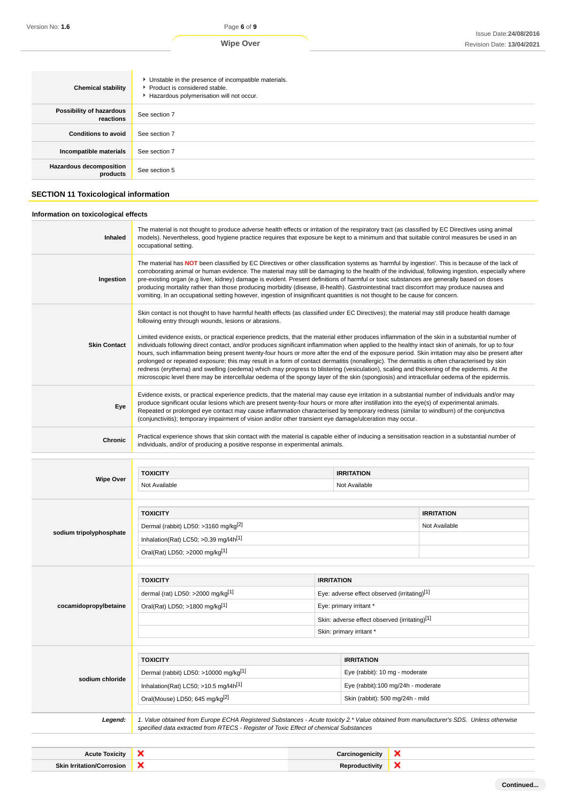| <b>Chemical stability</b>                  | • Unstable in the presence of incompatible materials.<br>▶ Product is considered stable.<br>Hazardous polymerisation will not occur. |
|--------------------------------------------|--------------------------------------------------------------------------------------------------------------------------------------|
| Possibility of hazardous<br>reactions      | See section 7                                                                                                                        |
| <b>Conditions to avoid</b>                 | See section 7                                                                                                                        |
| Incompatible materials                     | See section 7                                                                                                                        |
| <b>Hazardous decomposition</b><br>products | See section 5                                                                                                                        |

## **SECTION 11 Toxicological information**

## **Information on toxicological effects**

| Inhaled                 | The material is not thought to produce adverse health effects or irritation of the respiratory tract (as classified by EC Directives using animal<br>models). Nevertheless, good hygiene practice requires that exposure be kept to a minimum and that suitable control measures be used in an<br>occupational setting.                                                                                                                                                                                                                                                                                                                                                                                                                                                                                                                                                                                                                                                                                                                                                                                        |                   |                                               |   |                                    |
|-------------------------|----------------------------------------------------------------------------------------------------------------------------------------------------------------------------------------------------------------------------------------------------------------------------------------------------------------------------------------------------------------------------------------------------------------------------------------------------------------------------------------------------------------------------------------------------------------------------------------------------------------------------------------------------------------------------------------------------------------------------------------------------------------------------------------------------------------------------------------------------------------------------------------------------------------------------------------------------------------------------------------------------------------------------------------------------------------------------------------------------------------|-------------------|-----------------------------------------------|---|------------------------------------|
| Ingestion               | The material has NOT been classified by EC Directives or other classification systems as 'harmful by ingestion'. This is because of the lack of<br>corroborating animal or human evidence. The material may still be damaging to the health of the individual, following ingestion, especially where<br>pre-existing organ (e.g liver, kidney) damage is evident. Present definitions of harmful or toxic substances are generally based on doses<br>producing mortality rather than those producing morbidity (disease, ill-health). Gastrointestinal tract discomfort may produce nausea and<br>vomiting. In an occupational setting however, ingestion of insignificant quantities is not thought to be cause for concern.                                                                                                                                                                                                                                                                                                                                                                                  |                   |                                               |   |                                    |
| <b>Skin Contact</b>     | Skin contact is not thought to have harmful health effects (as classified under EC Directives); the material may still produce health damage<br>following entry through wounds, lesions or abrasions.<br>Limited evidence exists, or practical experience predicts, that the material either produces inflammation of the skin in a substantial number of<br>individuals following direct contact, and/or produces significant inflammation when applied to the healthy intact skin of animals, for up to four<br>hours, such inflammation being present twenty-four hours or more after the end of the exposure period. Skin irritation may also be present after<br>prolonged or repeated exposure; this may result in a form of contact dermatitis (nonallergic). The dermatitis is often characterised by skin<br>redness (erythema) and swelling (oedema) which may progress to blistering (vesiculation), scaling and thickening of the epidermis. At the<br>microscopic level there may be intercellular oedema of the spongy layer of the skin (spongiosis) and intracellular oedema of the epidermis. |                   |                                               |   |                                    |
| Eye                     | Evidence exists, or practical experience predicts, that the material may cause eye irritation in a substantial number of individuals and/or may<br>produce significant ocular lesions which are present twenty-four hours or more after instillation into the eye(s) of experimental animals.<br>Repeated or prolonged eye contact may cause inflammation characterised by temporary redness (similar to windburn) of the conjunctiva<br>(conjunctivitis); temporary impairment of vision and/or other transient eye damage/ulceration may occur.                                                                                                                                                                                                                                                                                                                                                                                                                                                                                                                                                              |                   |                                               |   |                                    |
| Chronic                 | Practical experience shows that skin contact with the material is capable either of inducing a sensitisation reaction in a substantial number of<br>individuals, and/or of producing a positive response in experimental animals.                                                                                                                                                                                                                                                                                                                                                                                                                                                                                                                                                                                                                                                                                                                                                                                                                                                                              |                   |                                               |   |                                    |
|                         |                                                                                                                                                                                                                                                                                                                                                                                                                                                                                                                                                                                                                                                                                                                                                                                                                                                                                                                                                                                                                                                                                                                |                   |                                               |   |                                    |
| <b>Wipe Over</b>        | <b>TOXICITY</b><br><b>IRRITATION</b>                                                                                                                                                                                                                                                                                                                                                                                                                                                                                                                                                                                                                                                                                                                                                                                                                                                                                                                                                                                                                                                                           |                   |                                               |   |                                    |
|                         | Not Available<br>Not Available                                                                                                                                                                                                                                                                                                                                                                                                                                                                                                                                                                                                                                                                                                                                                                                                                                                                                                                                                                                                                                                                                 |                   |                                               |   |                                    |
|                         | <b>TOXICITY</b><br>Dermal (rabbit) LD50: >3160 mg/kg <sup>[2]</sup><br>Inhalation(Rat) LC50; $>0.39$ mg/l4h <sup>[1]</sup>                                                                                                                                                                                                                                                                                                                                                                                                                                                                                                                                                                                                                                                                                                                                                                                                                                                                                                                                                                                     |                   |                                               |   |                                    |
| sodium tripolyphosphate | Oral(Rat) LD50; >2000 mg/kg[1]                                                                                                                                                                                                                                                                                                                                                                                                                                                                                                                                                                                                                                                                                                                                                                                                                                                                                                                                                                                                                                                                                 |                   |                                               |   | <b>IRRITATION</b><br>Not Available |
|                         |                                                                                                                                                                                                                                                                                                                                                                                                                                                                                                                                                                                                                                                                                                                                                                                                                                                                                                                                                                                                                                                                                                                |                   |                                               |   |                                    |
|                         | <b>TOXICITY</b>                                                                                                                                                                                                                                                                                                                                                                                                                                                                                                                                                                                                                                                                                                                                                                                                                                                                                                                                                                                                                                                                                                | <b>IRRITATION</b> |                                               |   |                                    |
|                         | dermal (rat) LD50: >2000 mg/kg $[1]$                                                                                                                                                                                                                                                                                                                                                                                                                                                                                                                                                                                                                                                                                                                                                                                                                                                                                                                                                                                                                                                                           |                   | Eye: adverse effect observed (irritating)[1]  |   |                                    |
| cocamidopropylbetaine   | Oral(Rat) LD50; >1800 mg/kg[1]                                                                                                                                                                                                                                                                                                                                                                                                                                                                                                                                                                                                                                                                                                                                                                                                                                                                                                                                                                                                                                                                                 |                   | Eye: primary irritant *                       |   |                                    |
|                         |                                                                                                                                                                                                                                                                                                                                                                                                                                                                                                                                                                                                                                                                                                                                                                                                                                                                                                                                                                                                                                                                                                                |                   | Skin: adverse effect observed (irritating)[1] |   |                                    |
|                         |                                                                                                                                                                                                                                                                                                                                                                                                                                                                                                                                                                                                                                                                                                                                                                                                                                                                                                                                                                                                                                                                                                                |                   | Skin: primary irritant *                      |   |                                    |
|                         | <b>TOXICITY</b>                                                                                                                                                                                                                                                                                                                                                                                                                                                                                                                                                                                                                                                                                                                                                                                                                                                                                                                                                                                                                                                                                                |                   | <b>IRRITATION</b>                             |   |                                    |
|                         | Dermal (rabbit) LD50: >10000 mg/kg[1]                                                                                                                                                                                                                                                                                                                                                                                                                                                                                                                                                                                                                                                                                                                                                                                                                                                                                                                                                                                                                                                                          |                   | Eye (rabbit): 10 mg - moderate                |   |                                    |
| sodium chloride         | Inhalation(Rat) LC50; $>10.5$ mg/l4h <sup>[1]</sup>                                                                                                                                                                                                                                                                                                                                                                                                                                                                                                                                                                                                                                                                                                                                                                                                                                                                                                                                                                                                                                                            |                   | Eye (rabbit):100 mg/24h - moderate            |   |                                    |
|                         | Oral(Mouse) LD50; 645 mg/kg <sup>[2]</sup>                                                                                                                                                                                                                                                                                                                                                                                                                                                                                                                                                                                                                                                                                                                                                                                                                                                                                                                                                                                                                                                                     |                   | Skin (rabbit): 500 mg/24h - mild              |   |                                    |
| Legend:                 | 1. Value obtained from Europe ECHA Registered Substances - Acute toxicity 2.* Value obtained from manufacturer's SDS. Unless otherwise<br>specified data extracted from RTECS - Register of Toxic Effect of chemical Substances                                                                                                                                                                                                                                                                                                                                                                                                                                                                                                                                                                                                                                                                                                                                                                                                                                                                                |                   |                                               |   |                                    |
|                         |                                                                                                                                                                                                                                                                                                                                                                                                                                                                                                                                                                                                                                                                                                                                                                                                                                                                                                                                                                                                                                                                                                                |                   |                                               |   |                                    |
| <b>Acute Toxicity</b>   | ×                                                                                                                                                                                                                                                                                                                                                                                                                                                                                                                                                                                                                                                                                                                                                                                                                                                                                                                                                                                                                                                                                                              |                   | Carcinogenicity                               | x |                                    |

**Continued...**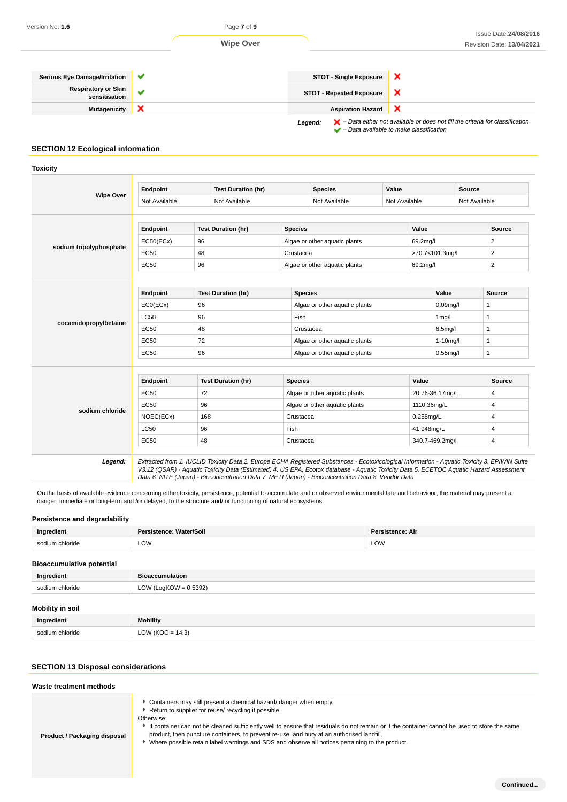

#### **SECTION 12 Ecological information**

**Toxicity**

|                         | Endpoint                                                                         | <b>Test Duration (hr)</b><br><b>Species</b><br>Value<br>Not Available<br>Not Available<br>Not Available                                                                                           |                               |                               |               |                                                                                            | <b>Source</b><br>Not Available |                         |
|-------------------------|----------------------------------------------------------------------------------|---------------------------------------------------------------------------------------------------------------------------------------------------------------------------------------------------|-------------------------------|-------------------------------|---------------|--------------------------------------------------------------------------------------------|--------------------------------|-------------------------|
| <b>Wipe Over</b>        |                                                                                  |                                                                                                                                                                                                   |                               |                               | Not Available |                                                                                            |                                |                         |
|                         | Endpoint                                                                         | <b>Test Duration (hr)</b>                                                                                                                                                                         | <b>Species</b>                |                               |               | Value                                                                                      |                                | Source                  |
|                         | EC50(ECx)                                                                        | 96                                                                                                                                                                                                |                               | Algae or other aquatic plants |               | 69.2mg/l                                                                                   |                                | $\overline{2}$          |
| sodium tripolyphosphate | <b>EC50</b>                                                                      | 48                                                                                                                                                                                                | Crustacea                     |                               |               | >70.7<101.3mg/l                                                                            |                                | $\overline{\mathbf{c}}$ |
|                         | <b>EC50</b>                                                                      | 96                                                                                                                                                                                                |                               | Algae or other aquatic plants |               | 69.2mg/l                                                                                   |                                | $\overline{2}$          |
| cocamidopropylbetaine   | Endpoint<br>ECO(ECX)<br><b>LC50</b><br><b>EC50</b><br><b>EC50</b><br><b>EC50</b> | <b>Test Duration (hr)</b><br><b>Species</b><br>96<br>Algae or other aquatic plants<br>96<br>Fish<br>48<br>Crustacea<br>72<br>Algae or other aquatic plants<br>96<br>Algae or other aquatic plants |                               |                               |               | Value<br>0.09 <sub>mq</sub> /I<br>1 <sub>mg</sub> /l<br>6.5mg/l<br>1-10mg/l<br>$0.55$ mg/l | <b>Source</b><br>1<br>1        |                         |
|                         | Endpoint                                                                         | <b>Test Duration (hr)</b>                                                                                                                                                                         | <b>Species</b>                |                               |               | Value                                                                                      |                                | <b>Source</b>           |
|                         | <b>EC50</b>                                                                      | 72                                                                                                                                                                                                | Algae or other aquatic plants |                               |               | 20.76-36.17mg/L                                                                            |                                | 4                       |
|                         | <b>EC50</b>                                                                      | 96                                                                                                                                                                                                | Algae or other aquatic plants |                               | 1110.36mg/L   |                                                                                            |                                | 4                       |
| sodium chloride         | NOEC(ECx)                                                                        | 168                                                                                                                                                                                               |                               | 0.258mg/L<br>Crustacea        |               |                                                                                            | 4                              |                         |
|                         | <b>LC50</b>                                                                      | 96                                                                                                                                                                                                | Fish<br>41.948mg/L            |                               |               |                                                                                            | $\overline{4}$                 |                         |

**Legend:** Extracted from 1. IUCLID Toxicity Data 2. Europe ECHA Registered Substances - Ecotoxicological Information - Aquatic Toxicity 3. EPIWIN Suite V3.12 (QSAR) - Aquatic Toxicity Data (Estimated) 4. US EPA, Ecotox database - Aquatic Toxicity Data 5. ECETOC Aquatic Hazard Assessment Data 6. NITE (Japan) - Bioconcentration Data 7. METI (Japan) - Bioconcentration Data 8. Vendor Data

EC50 48 Crustacea 340.7-469.2mg/l 48 and 340.7-469.2mg/l 48

On the basis of available evidence concerning either toxicity, persistence, potential to accumulate and or observed environmental fate and behaviour, the material may present a danger, immediate or long-term and /or delayed, to the structure and/ or functioning of natural ecosystems.

| Persistence and degradability    |                         |                  |  |  |  |
|----------------------------------|-------------------------|------------------|--|--|--|
| Ingredient                       | Persistence: Water/Soil | Persistence: Air |  |  |  |
| sodium chloride                  | <b>LOW</b>              | LOW              |  |  |  |
| <b>Bioaccumulative potential</b> |                         |                  |  |  |  |

| Ingredient              | <b>Bioaccumulation</b>   |
|-------------------------|--------------------------|
| sodium chloride         | LOW (LogKOW = $0.5392$ ) |
| <b>Mobility in soil</b> |                          |
| Ingredient              | <b>Mobility</b>          |

# **SECTION 13 Disposal considerations**

sodium chloride LOW (KOC = 14.3)

| Waste treatment methods      |                                                                                                                                                                                                                                                                                                                                                                                                                                                                                           |
|------------------------------|-------------------------------------------------------------------------------------------------------------------------------------------------------------------------------------------------------------------------------------------------------------------------------------------------------------------------------------------------------------------------------------------------------------------------------------------------------------------------------------------|
| Product / Packaging disposal | Containers may still present a chemical hazard/ danger when empty.<br>Return to supplier for reuse/ recycling if possible.<br>Otherwise:<br>If container can not be cleaned sufficiently well to ensure that residuals do not remain or if the container cannot be used to store the same<br>product, then puncture containers, to prevent re-use, and bury at an authorised landfill.<br>Where possible retain label warnings and SDS and observe all notices pertaining to the product. |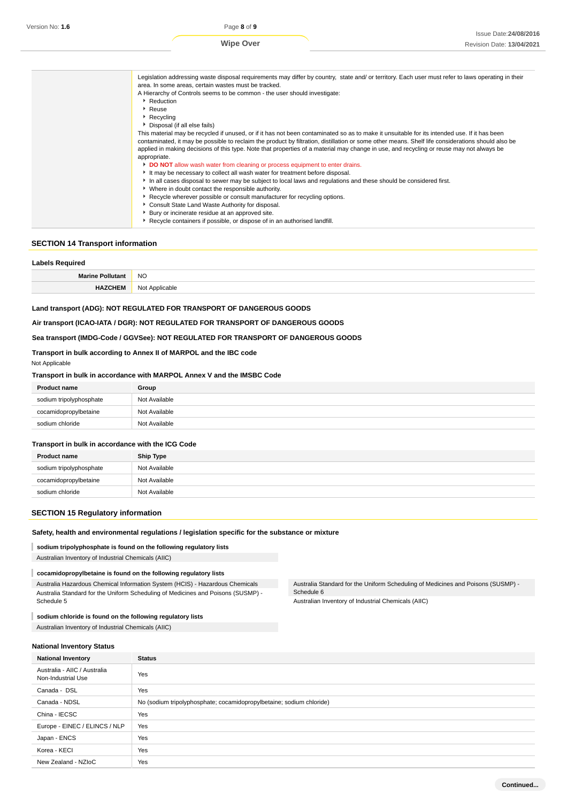**Wipe Over**

| Legislation addressing waste disposal requirements may differ by country, state and/ or territory. Each user must refer to laws operating in their<br>area. In some areas, certain wastes must be tracked.<br>A Hierarchy of Controls seems to be common - the user should investigate:<br>Reduction<br>▶ Reuse<br>$\triangleright$ Recycling<br>Disposal (if all else fails)<br>This material may be recycled if unused, or if it has not been contaminated so as to make it unsuitable for its intended use. If it has been<br>contaminated, it may be possible to reclaim the product by filtration, distillation or some other means. Shelf life considerations should also be<br>applied in making decisions of this type. Note that properties of a material may change in use, and recycling or reuse may not always be<br>appropriate.<br>DO NOT allow wash water from cleaning or process equipment to enter drains.<br>It may be necessary to collect all wash water for treatment before disposal.<br>In all cases disposal to sewer may be subject to local laws and regulations and these should be considered first.<br>• Where in doubt contact the responsible authority.<br>Recycle wherever possible or consult manufacturer for recycling options.<br>Consult State Land Waste Authority for disposal.<br>Bury or incinerate residue at an approved site.<br>Recycle containers if possible, or dispose of in an authorised landfill. |
|----------------------------------------------------------------------------------------------------------------------------------------------------------------------------------------------------------------------------------------------------------------------------------------------------------------------------------------------------------------------------------------------------------------------------------------------------------------------------------------------------------------------------------------------------------------------------------------------------------------------------------------------------------------------------------------------------------------------------------------------------------------------------------------------------------------------------------------------------------------------------------------------------------------------------------------------------------------------------------------------------------------------------------------------------------------------------------------------------------------------------------------------------------------------------------------------------------------------------------------------------------------------------------------------------------------------------------------------------------------------------------------------------------------------------------------------------------|
|----------------------------------------------------------------------------------------------------------------------------------------------------------------------------------------------------------------------------------------------------------------------------------------------------------------------------------------------------------------------------------------------------------------------------------------------------------------------------------------------------------------------------------------------------------------------------------------------------------------------------------------------------------------------------------------------------------------------------------------------------------------------------------------------------------------------------------------------------------------------------------------------------------------------------------------------------------------------------------------------------------------------------------------------------------------------------------------------------------------------------------------------------------------------------------------------------------------------------------------------------------------------------------------------------------------------------------------------------------------------------------------------------------------------------------------------------------|

#### **SECTION 14 Transport information**

#### **Labels Required**

| м.                              | <b>NO</b><br>$\sim$ |
|---------------------------------|---------------------|
| the contract of the contract of | ∖l∩t<br>мz<br>.     |

#### **Land transport (ADG): NOT REGULATED FOR TRANSPORT OF DANGEROUS GOODS**

#### **Air transport (ICAO-IATA / DGR): NOT REGULATED FOR TRANSPORT OF DANGEROUS GOODS**

## **Sea transport (IMDG-Code / GGVSee): NOT REGULATED FOR TRANSPORT OF DANGEROUS GOODS**

#### **Transport in bulk according to Annex II of MARPOL and the IBC code**

Not Applicable

#### **Transport in bulk in accordance with MARPOL Annex V and the IMSBC Code**

| <b>Product name</b>     | Group         |
|-------------------------|---------------|
| sodium tripolyphosphate | Not Available |
| cocamidopropylbetaine   | Not Available |
| sodium chloride         | Not Available |

#### **Transport in bulk in accordance with the ICG Code**

| <b>Product name</b>     | <b>Ship Type</b> |
|-------------------------|------------------|
| sodium tripolyphosphate | Not Available    |
| cocamidopropylbetaine   | Not Available    |
| sodium chloride         | Not Available    |

#### **SECTION 15 Regulatory information**

#### **Safety, health and environmental regulations / legislation specific for the substance or mixture**

## **sodium tripolyphosphate is found on the following regulatory lists**

Australian Inventory of Industrial Chemicals (AIIC)

#### **cocamidopropylbetaine is found on the following regulatory lists** ı

Australia Hazardous Chemical Information System (HCIS) - Hazardous Chemicals Australia Standard for the Uniform Scheduling of Medicines and Poisons (SUSMP) - Schedule 5

#### I **sodium chloride is found on the following regulatory lists**

Australian Inventory of Industrial Chemicals (AIIC)

Australia Standard for the Uniform Scheduling of Medicines and Poisons (SUSMP) - Schedule 6

Australian Inventory of Industrial Chemicals (AIIC)

#### **National Inventory Status**

| <b>National Inventory</b>                          | <b>Status</b>                                                        |
|----------------------------------------------------|----------------------------------------------------------------------|
| Australia - AIIC / Australia<br>Non-Industrial Use | Yes                                                                  |
| Canada - DSL                                       | Yes                                                                  |
| Canada - NDSL                                      | No (sodium tripolyphosphate; cocamidopropylbetaine; sodium chloride) |
| China - IECSC                                      | Yes                                                                  |
| Europe - EINEC / ELINCS / NLP                      | Yes                                                                  |
| Japan - ENCS                                       | Yes                                                                  |
| Korea - KECI                                       | Yes                                                                  |
| New Zealand - NZIoC                                | Yes                                                                  |